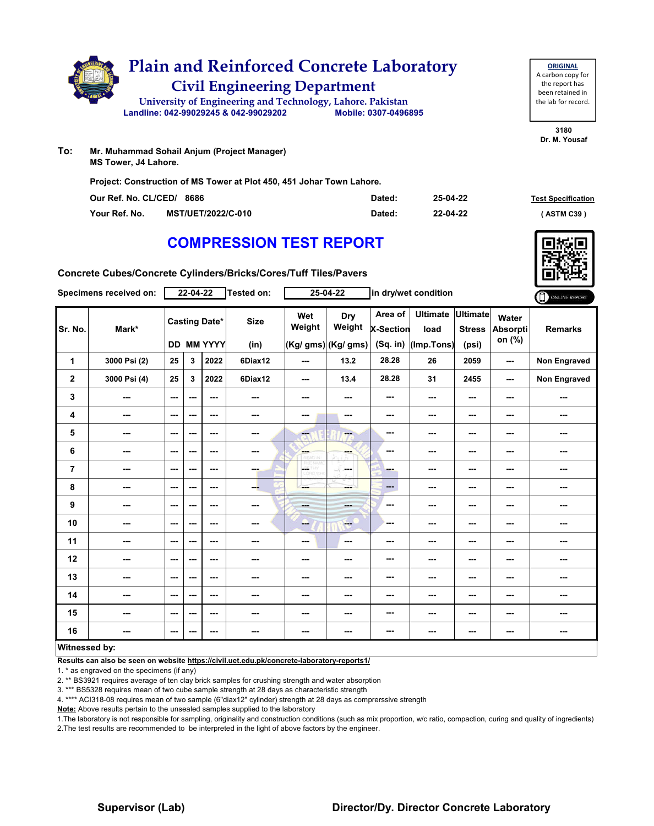

**Project: Construction of MS Tower at Plot 450, 451 Johar Town Lahore.**

| Our Ref. No. CL/CED/ 8686 |                           | Dated: | 25-04-22 | <b>Test Specification</b> |
|---------------------------|---------------------------|--------|----------|---------------------------|
| Your Ref. No.             | <b>MST/UET/2022/C-010</b> | Dated: | 22-04-22 | <b>ASTM C39</b> '         |

## **COMPRESSION TEST REPORT**

**Concrete Cubes/Concrete Cylinders/Bricks/Cores/Tuff Tiles/Pavers**

| Specimens received on: |              | $22 - 04 - 22$           |     |                                           | Tested on:          | 25-04-22             |                                      | in dry/wet condition                      |                                       |                                           |                                    | ONLINE REPORT  |
|------------------------|--------------|--------------------------|-----|-------------------------------------------|---------------------|----------------------|--------------------------------------|-------------------------------------------|---------------------------------------|-------------------------------------------|------------------------------------|----------------|
| Sr. No.                | Mark*        |                          |     | <b>Casting Date*</b><br><b>DD MM YYYY</b> | <b>Size</b><br>(in) | Wet<br>Weight        | Dry<br>Weight<br>(Kg/ gms) (Kg/ gms) | Area of<br><b>X-Section</b><br>$(Sq.$ in) | <b>Ultimate</b><br>load<br>(Imp.Tons) | <b>Ultimate</b><br><b>Stress</b><br>(psi) | Water<br><b>Absorpti</b><br>on (%) | <b>Remarks</b> |
| 1                      | 3000 Psi (2) | 25                       | 3   | 2022                                      | 6Diax12             | $- - -$              | 13.2                                 | 28.28                                     | 26                                    | 2059                                      | ---                                | Non Engraved   |
| $\mathbf 2$            | 3000 Psi (4) | 25                       | 3   | 2022                                      | 6Diax12             | $--$                 | 13.4                                 | 28.28                                     | 31                                    | 2455                                      | ---                                | Non Engraved   |
| 3                      | ---          | $\sim$ $\sim$            | --- | ---                                       | ---                 | ---                  | ---                                  | ---                                       | ---                                   | ---                                       | ---                                | ---            |
| 4                      | ---          | $\overline{\phantom{a}}$ | --- | $- - -$                                   | ---                 | ---                  | $\sim$                               | ---                                       | ---                                   | ---                                       | ---                                | ---            |
| 5                      | ---          | $\sim$ $\sim$            | --- | $\sim$ $\sim$                             | $\sim$ $\sim$       | ---                  | $-$                                  | ---                                       | ---                                   | ---                                       | ---                                | ---            |
| 6                      | $\sim$       | $--$                     | --- | $\sim$ $\sim$                             | $\sim$              | ---                  | ---                                  | ---                                       | ---                                   | ---                                       | ---                                | ---            |
| $\overline{7}$         | ---          | $\sim$                   | --- | $\overline{\phantom{a}}$                  | ---                 | CETHY <sub>CON</sub> | ---                                  | ---                                       | ---                                   | ---                                       | ---                                | ---            |
| 8                      | $- - -$      | $\overline{\phantom{a}}$ | --- | $\sim$ $\sim$                             | ---                 | ---                  | ---                                  | $\cdots$                                  | ---                                   | $\overline{\phantom{a}}$                  | ---                                | ---            |
| 9                      | $\sim$       | $\overline{\phantom{a}}$ | --- | $- - -$                                   | $\sim$              | <b>House</b>         | <b>SHOP</b>                          | ---                                       | ---                                   | ---                                       | ---                                | ---            |
| 10                     | ---          | $\overline{\phantom{a}}$ | --- | $\sim$ $\sim$                             | ---                 | ---                  | $\overline{a}$                       | ---                                       | ---                                   | ---                                       | ---                                | ---            |
| 11                     | $\cdots$     | $\sim$                   | --- | ---                                       | ---                 | $--$                 | $\cdots$                             | ---                                       | ---                                   | ---                                       | ---                                | ---            |
| 12                     | $- - -$      | $\sim$ $\sim$            | --- | $- - -$                                   | ---                 | ---                  | ---                                  | ---                                       | ---                                   | ---                                       | ---                                | ---            |
| 13                     | ---          | ---                      | --- | $- - -$                                   | ---                 | ---                  | ---                                  | ---                                       | ---                                   | ---                                       | ---                                | ---            |
| 14                     | ---          | $--$                     | --- | ---                                       | ---                 | ---                  | ---                                  | ---                                       | ---                                   | ---                                       | ---                                | ---            |
| 15                     | ---          | $\sim$                   | --- | ---                                       | ---                 | ---                  | ---                                  | ---                                       | ---                                   | ---                                       | ---                                | ---            |
| 16                     | ---          | $- - -$                  | --- | $- - -$                                   | $- - -$             | ---                  | ---                                  | ---                                       | ---                                   | ---                                       | ---                                | ---            |
| <b>Witnessed bv:</b>   |              |                          |     |                                           |                     |                      |                                      |                                           |                                       |                                           |                                    |                |

#### **Witnessed by:**

**Results can also be seen on website https://civil.uet.edu.pk/concrete-laboratory-reports1/**

1. \* as engraved on the specimens (if any)

2. \*\* BS3921 requires average of ten clay brick samples for crushing strength and water absorption

3. \*\*\* BS5328 requires mean of two cube sample strength at 28 days as characteristic strength

4. \*\*\*\* ACI318-08 requires mean of two sample (6"diax12" cylinder) strength at 28 days as comprerssive strength

**Note:** Above results pertain to the unsealed samples supplied to the laboratory

1.The laboratory is not responsible for sampling, originality and construction conditions (such as mix proportion, w/c ratio, compaction, curing and quality of ingredients) 2.The test results are recommended to be interpreted in the light of above factors by the engineer.



the report has been retained in the lab for record.

**ORIGINAL** A carbon copy for

**3180 Dr. M. Yousaf**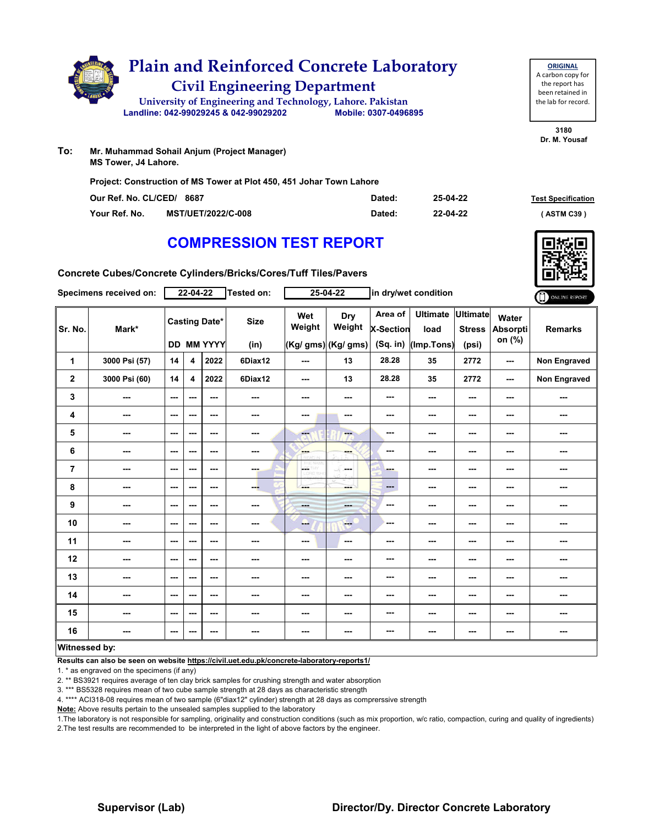|     | <b>Plain and Reinforced Concrete Laboratory</b><br><b>Civil Engineering Department</b> |  |                      |  |  |  |  |  |  |  |
|-----|----------------------------------------------------------------------------------------|--|----------------------|--|--|--|--|--|--|--|
|     | University of Engineering and Technology, Lahore. Pakistan                             |  |                      |  |  |  |  |  |  |  |
|     | Landline: 042-99029245 & 042-99029202                                                  |  | Mobile: 0307-0496895 |  |  |  |  |  |  |  |
| To: | Mr. Muhammad Sohail Anjum (Project Manager)<br><b>MS Tower, J4 Lahore.</b>             |  |                      |  |  |  |  |  |  |  |

**Project: Construction of MS Tower at Plot 450, 451 Johar Town Lahore**

| Our Ref. No. CL/CED/ 8687 |                           | Dated: | 25-04-22 | <b>Test Specification</b> |  |
|---------------------------|---------------------------|--------|----------|---------------------------|--|
| Your Ref. No.             | <b>MST/UET/2022/C-008</b> | Dated: | 22-04-22 | ASTM C39 '                |  |

## **COMPRESSION TEST REPORT**

**Concrete Cubes/Concrete Cylinders/Bricks/Cores/Tuff Tiles/Pavers**

| Specimens received on: |               | $22 - 04 - 22$           |     |                                           | Tested on:          | $25 - 04 - 22$    |                                      | in dry/wet condition                    |                                       |                                    |                                    | ONLINE REPORT       |
|------------------------|---------------|--------------------------|-----|-------------------------------------------|---------------------|-------------------|--------------------------------------|-----------------------------------------|---------------------------------------|------------------------------------|------------------------------------|---------------------|
| Sr. No.                | Mark*         |                          |     | <b>Casting Date*</b><br><b>DD MM YYYY</b> | <b>Size</b><br>(in) | Wet<br>Weight     | Dry<br>Weight<br>(Kg/ gms) (Kg/ gms) | Area of<br><b>X-Section</b><br>(Sq. in) | <b>Ultimate</b><br>load<br>(Imp.Tons) | Ultimate<br><b>Stress</b><br>(psi) | Water<br><b>Absorpti</b><br>on (%) | <b>Remarks</b>      |
| 1                      | 3000 Psi (57) | 14                       | 4   | 2022                                      | 6Diax12             | $--$              | 13                                   | 28.28                                   | 35                                    | 2772                               | ---                                | <b>Non Engraved</b> |
| $\mathbf{2}$           | 3000 Psi (60) | 14                       | 4   | 2022                                      | 6Diax12             | $--$              | 13                                   | 28.28                                   | 35                                    | 2772                               | ---                                | <b>Non Engraved</b> |
| 3                      | ---           | $\sim$                   | --- | ---                                       | ---                 | ---               | $\cdots$                             | ---                                     | ---                                   | ---                                | ---                                | ---                 |
| 4                      | ---           | $\sim$                   | --- | $\sim$ $\sim$                             | $\sim$              | ---               | $\sim$                               | ---                                     | ---                                   | ---                                | ---                                | ---                 |
| 5                      | ---           | $\sim$ $\sim$            | --- | $\sim$ $\sim$                             | $\sim$ $\sim$       | $-1$              | ---                                  | ---                                     | ---                                   | ---                                | ---                                | ---                 |
| 6                      | $\cdots$      | $--$                     | --- | ---                                       | ---                 | ---<br>braril     | <b>SHOP</b>                          | ---                                     | ---                                   | ---                                | ---                                | ---                 |
| $\overline{7}$         | ---           | $\sim$ $\sim$            | --- | $\sim$ $\sim$                             | ---                 | CETHY<br>LIORD WH | la sua                               | ---                                     | ---                                   | ---                                | ---                                | ---                 |
| 8                      | ---           | $\sim$                   | --- | $\sim$ $\sim$                             | --                  | ---               | ment.                                | $\qquad \qquad \cdots$                  | ---                                   | ---                                | ---                                | ---                 |
| 9                      | ---           | $--$                     | --- | $\overline{\phantom{a}}$                  | $\sim$              | ---               | <b>SHOP</b>                          | ---                                     | ---                                   | ---                                | ---                                | ---                 |
| 10                     | ---           | $\sim$ $\sim$            | --- | $\sim$ $\sim$                             | ---                 | --                | <b>Free</b>                          | ---                                     | ---                                   | ---                                | ---                                | ---                 |
| 11                     | ---           | $\overline{\phantom{a}}$ | --- | $\sim$                                    | ---                 | ---               | $\sim$                               | ---                                     | ---                                   | ---                                |                                    | ---                 |
| 12                     | ---           | ---                      | --- | $- - -$                                   | ---                 | ---               | ---                                  | ---                                     | ---                                   | ---                                | ---                                | ---                 |
| 13                     | ---           | $--$                     | --- | $\sim$ $\sim$                             | ---                 | ---               | ---                                  | ---                                     | ---                                   | ---                                | ---                                | ---                 |
| 14                     | $\cdots$      | $\sim$                   | --- | $\hspace{0.05cm} \ldots$                  | $\sim$              | ---               | ---                                  | ---                                     | ---                                   | ---                                | ---                                | ---                 |
| 15                     | ---           | $\overline{\phantom{a}}$ | --- | $\sim$ $\sim$                             | $\sim$              | ---               | $\sim$                               | ---                                     | ---                                   | ---                                | ---                                | ---                 |
| 16                     | $\sim$        | $\sim$                   | --- | $\sim$                                    | $\sim$              | ---               | ---                                  | ---                                     | ---                                   | ---                                | ---                                | ---                 |
|                        | Witnessed by: |                          |     |                                           |                     |                   |                                      |                                         |                                       |                                    |                                    |                     |

**Results can also be seen on website https://civil.uet.edu.pk/concrete-laboratory-reports1/**

1. \* as engraved on the specimens (if any)

2. \*\* BS3921 requires average of ten clay brick samples for crushing strength and water absorption

3. \*\*\* BS5328 requires mean of two cube sample strength at 28 days as characteristic strength

4. \*\*\*\* ACI318-08 requires mean of two sample (6"diax12" cylinder) strength at 28 days as comprerssive strength

**Note:** Above results pertain to the unsealed samples supplied to the laboratory

1.The laboratory is not responsible for sampling, originality and construction conditions (such as mix proportion, w/c ratio, compaction, curing and quality of ingredients) 2.The test results are recommended to be interpreted in the light of above factors by the engineer.



**ORIGINAL** A carbon copy for the report has been retained in the lab for record.

**3180 Dr. M. Yousaf**